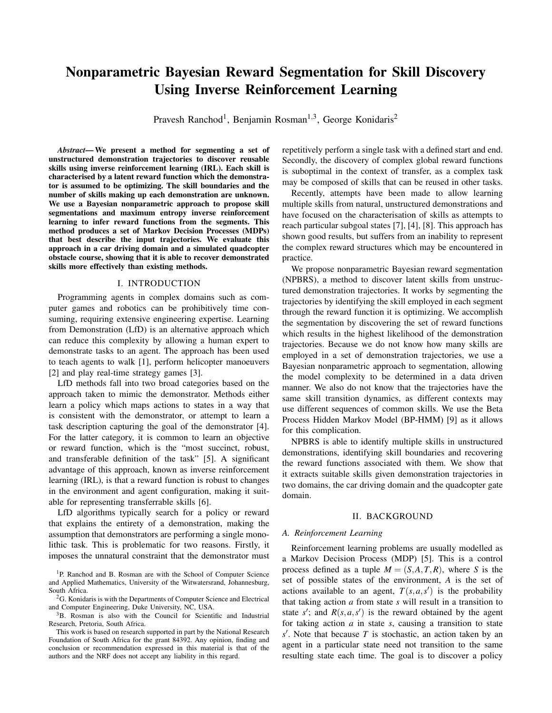# Nonparametric Bayesian Reward Segmentation for Skill Discovery Using Inverse Reinforcement Learning

Pravesh Ranchod<sup>1</sup>, Benjamin Rosman<sup>1,3</sup>, George Konidaris<sup>2</sup>

*Abstract*— We present a method for segmenting a set of unstructured demonstration trajectories to discover reusable skills using inverse reinforcement learning (IRL). Each skill is characterised by a latent reward function which the demonstrator is assumed to be optimizing. The skill boundaries and the number of skills making up each demonstration are unknown. We use a Bayesian nonparametric approach to propose skill segmentations and maximum entropy inverse reinforcement learning to infer reward functions from the segments. This method produces a set of Markov Decision Processes (MDPs) that best describe the input trajectories. We evaluate this approach in a car driving domain and a simulated quadcopter obstacle course, showing that it is able to recover demonstrated skills more effectively than existing methods.

### I. INTRODUCTION

Programming agents in complex domains such as computer games and robotics can be prohibitively time consuming, requiring extensive engineering expertise. Learning from Demonstration (LfD) is an alternative approach which can reduce this complexity by allowing a human expert to demonstrate tasks to an agent. The approach has been used to teach agents to walk [1], perform helicopter manoeuvers [2] and play real-time strategy games [3].

LfD methods fall into two broad categories based on the approach taken to mimic the demonstrator. Methods either learn a policy which maps actions to states in a way that is consistent with the demonstrator, or attempt to learn a task description capturing the goal of the demonstrator [4]. For the latter category, it is common to learn an objective or reward function, which is the "most succinct, robust, and transferable definition of the task" [5]. A significant advantage of this approach, known as inverse reinforcement learning (IRL), is that a reward function is robust to changes in the environment and agent configuration, making it suitable for representing transferrable skills [6].

LfD algorithms typically search for a policy or reward that explains the entirety of a demonstration, making the assumption that demonstrators are performing a single monolithic task. This is problematic for two reasons. Firstly, it imposes the unnatural constraint that the demonstrator must

<sup>3</sup>B. Rosman is also with the Council for Scientific and Industrial Research, Pretoria, South Africa.

repetitively perform a single task with a defined start and end. Secondly, the discovery of complex global reward functions is suboptimal in the context of transfer, as a complex task may be composed of skills that can be reused in other tasks.

Recently, attempts have been made to allow learning multiple skills from natural, unstructured demonstrations and have focused on the characterisation of skills as attempts to reach particular subgoal states [7], [4], [8]. This approach has shown good results, but suffers from an inability to represent the complex reward structures which may be encountered in practice.

We propose nonparametric Bayesian reward segmentation (NPBRS), a method to discover latent skills from unstructured demonstration trajectories. It works by segmenting the trajectories by identifying the skill employed in each segment through the reward function it is optimizing. We accomplish the segmentation by discovering the set of reward functions which results in the highest likelihood of the demonstration trajectories. Because we do not know how many skills are employed in a set of demonstration trajectories, we use a Bayesian nonparametric approach to segmentation, allowing the model complexity to be determined in a data driven manner. We also do not know that the trajectories have the same skill transition dynamics, as different contexts may use different sequences of common skills. We use the Beta Process Hidden Markov Model (BP-HMM) [9] as it allows for this complication.

NPBRS is able to identify multiple skills in unstructured demonstrations, identifying skill boundaries and recovering the reward functions associated with them. We show that it extracts suitable skills given demonstration trajectories in two domains, the car driving domain and the quadcopter gate domain.

#### II. BACKGROUND

### *A. Reinforcement Learning*

Reinforcement learning problems are usually modelled as a Markov Decision Process (MDP) [5]. This is a control process defined as a tuple  $M = (S, A, T, R)$ , where *S* is the set of possible states of the environment, *A* is the set of actions available to an agent,  $T(s, a, s')$  is the probability that taking action *a* from state *s* will result in a transition to state  $s'$ ; and  $R(s, a, s')$  is the reward obtained by the agent for taking action *a* in state *s*, causing a transition to state  $s'$ . Note that because *T* is stochastic, an action taken by an agent in a particular state need not transition to the same resulting state each time. The goal is to discover a policy

<sup>1</sup>P. Ranchod and B. Rosman are with the School of Computer Science and Applied Mathematics, University of the Witwatersrand, Johannesburg, South Africa.

<sup>&</sup>lt;sup>2</sup>G. Konidaris is with the Departments of Computer Science and Electrical and Computer Engineering, Duke University, NC, USA.

This work is based on research supported in part by the National Research Foundation of South Africa for the grant 84392. Any opinion, finding and conclusion or recommendation expressed in this material is that of the authors and the NRF does not accept any liability in this regard.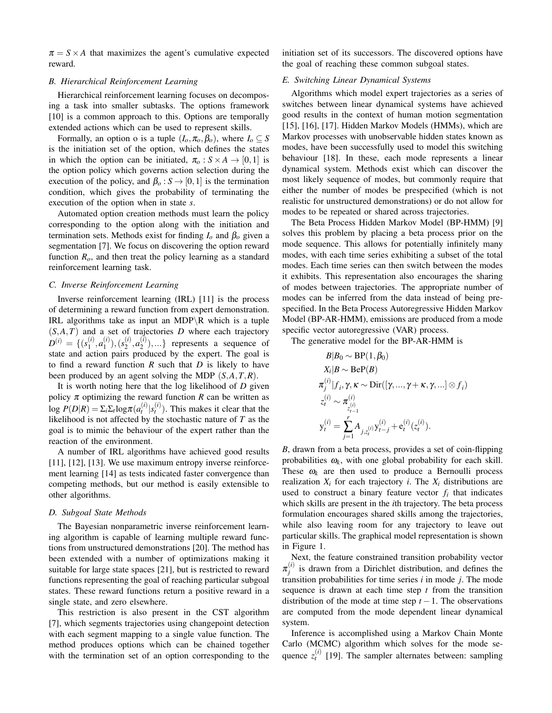$\pi = S \times A$  that maximizes the agent's cumulative expected reward.

#### *B. Hierarchical Reinforcement Learning*

Hierarchical reinforcement learning focuses on decomposing a task into smaller subtasks. The options framework [10] is a common approach to this. Options are temporally extended actions which can be used to represent skills.

Formally, an option o is a tuple  $(I_o, \pi_o, \beta_o)$ , where  $I_o \subseteq S$ is the initiation set of the option, which defines the states in which the option can be initiated,  $\pi_o : S \times A \rightarrow [0,1]$  is the option policy which governs action selection during the execution of the policy, and  $\beta_0 : S \to [0,1]$  is the termination condition, which gives the probability of terminating the execution of the option when in state *s*.

Automated option creation methods must learn the policy corresponding to the option along with the initiation and termination sets. Methods exist for finding  $I<sub>o</sub>$  and  $\beta<sub>o</sub>$  given a segmentation [7]. We focus on discovering the option reward function  $R<sub>o</sub>$ , and then treat the policy learning as a standard reinforcement learning task.

#### *C. Inverse Reinforcement Learning*

Inverse reinforcement learning (IRL) [11] is the process of determining a reward function from expert demonstration. IRL algorithms take as input an MDP $\R$  which is a tuple (*S*,*A*,*T*) and a set of trajectories *D* where each trajectory  $D^{(i)} = \{ (s_1^{(i)}),$  $a_1^{(i)}, a_1^{(i)}$  $\binom{(i)}{1},\binom{(s)}{2}$  $a_2^{(i)}$ ,  $a_2^{(i)}$  $\binom{1}{2}, \ldots$ } represents a sequence of state and action pairs produced by the expert. The goal is to find a reward function *R* such that *D* is likely to have been produced by an agent solving the MDP (*S*,*A*,*T*,*R*).

It is worth noting here that the log likelihood of *D* given policy  $\pi$  optimizing the reward function *R* can be written as  $\log P(D|R) = \sum_i \sum_t \log \pi(a_t^{(i)} | s_t^{(i)})$ . This makes it clear that the likelihood is not affected by the stochastic nature of *T* as the goal is to mimic the behaviour of the expert rather than the reaction of the environment.

A number of IRL algorithms have achieved good results [11], [12], [13]. We use maximum entropy inverse reinforcement learning [14] as tests indicated faster convergence than competing methods, but our method is easily extensible to other algorithms.

#### *D. Subgoal State Methods*

The Bayesian nonparametric inverse reinforcement learning algorithm is capable of learning multiple reward functions from unstructured demonstrations [20]. The method has been extended with a number of optimizations making it suitable for large state spaces [21], but is restricted to reward functions representing the goal of reaching particular subgoal states. These reward functions return a positive reward in a single state, and zero elsewhere.

This restriction is also present in the CST algorithm [7], which segments trajectories using changepoint detection with each segment mapping to a single value function. The method produces options which can be chained together with the termination set of an option corresponding to the

initiation set of its successors. The discovered options have the goal of reaching these common subgoal states.

## *E. Switching Linear Dynamical Systems*

Algorithms which model expert trajectories as a series of switches between linear dynamical systems have achieved good results in the context of human motion segmentation [15], [16], [17]. Hidden Markov Models (HMMs), which are Markov processes with unobservable hidden states known as modes, have been successfully used to model this switching behaviour [18]. In these, each mode represents a linear dynamical system. Methods exist which can discover the most likely sequence of modes, but commonly require that either the number of modes be prespecified (which is not realistic for unstructured demonstrations) or do not allow for modes to be repeated or shared across trajectories.

The Beta Process Hidden Markov Model (BP-HMM) [9] solves this problem by placing a beta process prior on the mode sequence. This allows for potentially infinitely many modes, with each time series exhibiting a subset of the total modes. Each time series can then switch between the modes it exhibits. This representation also encourages the sharing of modes between trajectories. The appropriate number of modes can be inferred from the data instead of being prespecified. In the Beta Process Autoregressive Hidden Markov Model (BP-AR-HMM), emissions are produced from a mode specific vector autoregressive (VAR) process.

The generative model for the BP-AR-HMM is

$$
B|B_0 \sim BP(1, \beta_0)
$$
  
\n
$$
X_i|B \sim \text{BeP}(B)
$$
  
\n
$$
\pi_j^{(i)}|f_i, \gamma, \kappa \sim \text{Dir}([\gamma, ..., \gamma + \kappa, \gamma, ...] \otimes f_i)
$$
  
\n
$$
z_t^{(i)} \sim \pi_{z_{t-1}^{(i)}}^{(i)}
$$
  
\n
$$
y_t^{(i)} = \sum_{j=1}^r A_{j, z_t^{(i)}} y_{t-j}^{(i)} + e_t^{(i)}(z_t^{(i)}).
$$

*B*, drawn from a beta process, provides a set of coin-flipping probabilities ω*<sup>k</sup>* , with one global probability for each skill. These  $\omega_k$  are then used to produce a Bernoulli process realization  $X_i$  for each trajectory *i*. The  $X_i$  distributions are used to construct a binary feature vector  $f_i$  that indicates which skills are present in the *i*th trajectory. The beta process formulation encourages shared skills among the trajectories, while also leaving room for any trajectory to leave out particular skills. The graphical model representation is shown in Figure 1.

Next, the feature constrained transition probability vector  $\pi_i^{(i)}$  $j_j^{(t)}$  is drawn from a Dirichlet distribution, and defines the transition probabilities for time series *i* in mode *j*. The mode sequence is drawn at each time step *t* from the transition distribution of the mode at time step  $t - 1$ . The observations are computed from the mode dependent linear dynamical system.

Inference is accomplished using a Markov Chain Monte Carlo (MCMC) algorithm which solves for the mode sequence  $z_t^{(i)}$  [19]. The sampler alternates between: sampling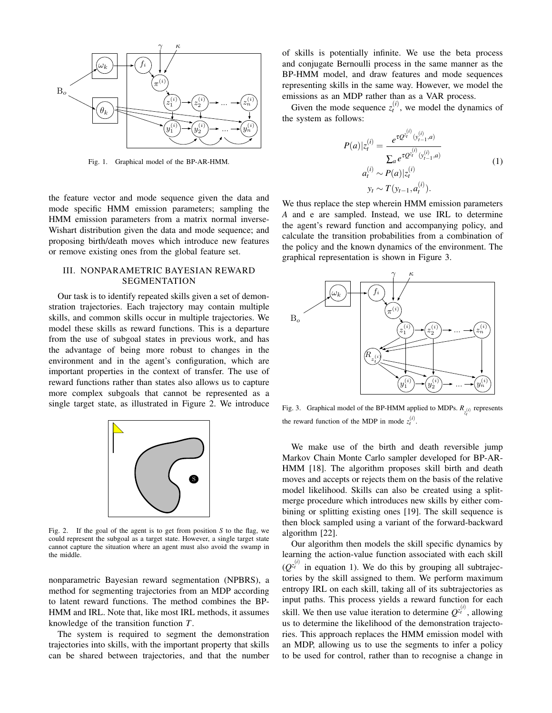

Fig. 1. Graphical model of the BP-AR-HMM.

the feature vector and mode sequence given the data and mode specific HMM emission parameters; sampling the HMM emission parameters from a matrix normal inverse-Wishart distribution given the data and mode sequence; and proposing birth/death moves which introduce new features or remove existing ones from the global feature set.

## III. NONPARAMETRIC BAYESIAN REWARD **SEGMENTATION**

Our task is to identify repeated skills given a set of demonstration trajectories. Each trajectory may contain multiple skills, and common skills occur in multiple trajectories. We model these skills as reward functions. This is a departure from the use of subgoal states in previous work, and has the advantage of being more robust to changes in the environment and in the agent's configuration, which are important properties in the context of transfer. The use of reward functions rather than states also allows us to capture more complex subgoals that cannot be represented as a single target state, as illustrated in Figure 2. We introduce



Fig. 2. If the goal of the agent is to get from position *S* to the flag, we could represent the subgoal as a target state. However, a single target state cannot capture the situation where an agent must also avoid the swamp in the middle.

nonparametric Bayesian reward segmentation (NPBRS), a method for segmenting trajectories from an MDP according to latent reward functions. The method combines the BP-HMM and IRL. Note that, like most IRL methods, it assumes knowledge of the transition function *T*.

The system is required to segment the demonstration trajectories into skills, with the important property that skills can be shared between trajectories, and that the number

of skills is potentially infinite. We use the beta process and conjugate Bernoulli process in the same manner as the BP-HMM model, and draw features and mode sequences representing skills in the same way. However, we model the emissions as an MDP rather than as a VAR process.

Given the mode sequence  $z_t^{(i)}$ , we model the dynamics of the system as follows:

$$
P(a)|z_t^{(i)} = \frac{e^{\tau Q_{\tau}^{(i)}(y_{t-1}^{(i)}, a)}}{\sum_a e^{\tau Q_{\tau}^{(i)}(y_{t-1}^{(i)}, a)}}
$$
  
\n
$$
a_t^{(i)} \sim P(a)|z_t^{(i)}
$$
  
\n
$$
y_t \sim T(y_{t-1}, a_t^{(i)}).
$$
\n(1)

We thus replace the step wherein HMM emission parameters *A* and e are sampled. Instead, we use IRL to determine the agent's reward function and accompanying policy, and calculate the transition probabilities from a combination of the policy and the known dynamics of the environment. The graphical representation is shown in Figure 3.



Fig. 3. Graphical model of the BP-HMM applied to MDPs.  $R_{\zeta_i^{(i)}}$  represents the reward function of the MDP in mode  $z_t^{(i)}$ .

We make use of the birth and death reversible jump Markov Chain Monte Carlo sampler developed for BP-AR-HMM [18]. The algorithm proposes skill birth and death moves and accepts or rejects them on the basis of the relative model likelihood. Skills can also be created using a splitmerge procedure which introduces new skills by either combining or splitting existing ones [19]. The skill sequence is then block sampled using a variant of the forward-backward algorithm [22].

Our algorithm then models the skill specific dynamics by learning the action-value function associated with each skill  $(Q^{\zeta_i^{(i)}})$  in equation 1). We do this by grouping all subtrajectories by the skill assigned to them. We perform maximum entropy IRL on each skill, taking all of its subtrajectories as input paths. This process yields a reward function for each skill. We then use value iteration to determine  $Q^{z_t^{(i)}}$ , allowing us to determine the likelihood of the demonstration trajectories. This approach replaces the HMM emission model with an MDP, allowing us to use the segments to infer a policy to be used for control, rather than to recognise a change in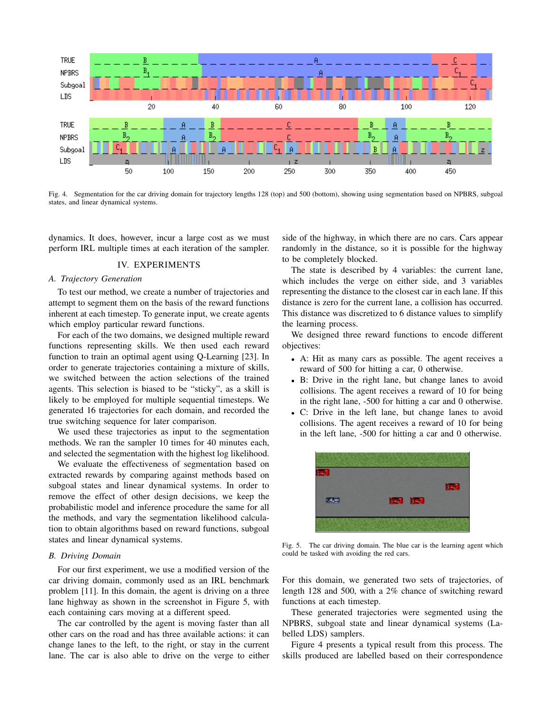

Fig. 4. Segmentation for the car driving domain for trajectory lengths 128 (top) and 500 (bottom), showing using segmentation based on NPBRS, subgoal states, and linear dynamical systems.

dynamics. It does, however, incur a large cost as we must perform IRL multiple times at each iteration of the sampler.

## IV. EXPERIMENTS

# *A. Trajectory Generation*

To test our method, we create a number of trajectories and attempt to segment them on the basis of the reward functions inherent at each timestep. To generate input, we create agents which employ particular reward functions.

For each of the two domains, we designed multiple reward functions representing skills. We then used each reward function to train an optimal agent using Q-Learning [23]. In order to generate trajectories containing a mixture of skills, we switched between the action selections of the trained agents. This selection is biased to be "sticky", as a skill is likely to be employed for multiple sequential timesteps. We generated 16 trajectories for each domain, and recorded the true switching sequence for later comparison.

We used these trajectories as input to the segmentation methods. We ran the sampler 10 times for 40 minutes each, and selected the segmentation with the highest log likelihood.

We evaluate the effectiveness of segmentation based on extracted rewards by comparing against methods based on subgoal states and linear dynamical systems. In order to remove the effect of other design decisions, we keep the probabilistic model and inference procedure the same for all the methods, and vary the segmentation likelihood calculation to obtain algorithms based on reward functions, subgoal states and linear dynamical systems.

## *B. Driving Domain*

For our first experiment, we use a modified version of the car driving domain, commonly used as an IRL benchmark problem [11]. In this domain, the agent is driving on a three lane highway as shown in the screenshot in Figure 5, with each containing cars moving at a different speed.

The car controlled by the agent is moving faster than all other cars on the road and has three available actions: it can change lanes to the left, to the right, or stay in the current lane. The car is also able to drive on the verge to either

side of the highway, in which there are no cars. Cars appear randomly in the distance, so it is possible for the highway to be completely blocked.

The state is described by 4 variables: the current lane, which includes the verge on either side, and 3 variables representing the distance to the closest car in each lane. If this distance is zero for the current lane, a collision has occurred. This distance was discretized to 6 distance values to simplify the learning process.

We designed three reward functions to encode different objectives:

- A: Hit as many cars as possible. The agent receives a reward of 500 for hitting a car, 0 otherwise.
- B: Drive in the right lane, but change lanes to avoid collisions. The agent receives a reward of 10 for being in the right lane, -500 for hitting a car and 0 otherwise.
- C: Drive in the left lane, but change lanes to avoid collisions. The agent receives a reward of 10 for being in the left lane, -500 for hitting a car and 0 otherwise.



Fig. 5. The car driving domain. The blue car is the learning agent which could be tasked with avoiding the red cars.

For this domain, we generated two sets of trajectories, of length 128 and 500, with a 2% chance of switching reward functions at each timestep.

These generated trajectories were segmented using the NPBRS, subgoal state and linear dynamical systems (Labelled LDS) samplers.

Figure 4 presents a typical result from this process. The skills produced are labelled based on their correspondence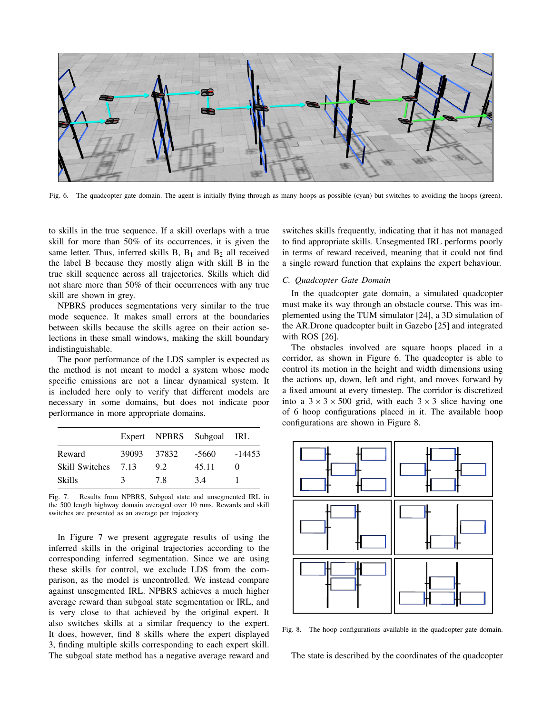

Fig. 6. The quadcopter gate domain. The agent is initially flying through as many hoops as possible (cyan) but switches to avoiding the hoops (green).

to skills in the true sequence. If a skill overlaps with a true skill for more than 50% of its occurrences, it is given the same letter. Thus, inferred skills B,  $B_1$  and  $B_2$  all received the label B because they mostly align with skill B in the true skill sequence across all trajectories. Skills which did not share more than 50% of their occurrences with any true skill are shown in grey.

NPBRS produces segmentations very similar to the true mode sequence. It makes small errors at the boundaries between skills because the skills agree on their action selections in these small windows, making the skill boundary indistinguishable.

The poor performance of the LDS sampler is expected as the method is not meant to model a system whose mode specific emissions are not a linear dynamical system. It is included here only to verify that different models are necessary in some domains, but does not indicate poor performance in more appropriate domains.

|                       |               |       | Expert NPBRS Subgoal IRL |          |
|-----------------------|---------------|-------|--------------------------|----------|
| Reward                | 39093         | 37832 | -5660                    | $-14453$ |
| <b>Skill Switches</b> | 7.13          | 9.2   | 45.11                    |          |
| <b>Skills</b>         | $\mathcal{L}$ | 7 R   | 34                       |          |

Fig. 7. Results from NPBRS, Subgoal state and unsegmented IRL in the 500 length highway domain averaged over 10 runs. Rewards and skill switches are presented as an average per trajectory

In Figure 7 we present aggregate results of using the inferred skills in the original trajectories according to the corresponding inferred segmentation. Since we are using these skills for control, we exclude LDS from the comparison, as the model is uncontrolled. We instead compare against unsegmented IRL. NPBRS achieves a much higher average reward than subgoal state segmentation or IRL, and is very close to that achieved by the original expert. It also switches skills at a similar frequency to the expert. It does, however, find 8 skills where the expert displayed 3, finding multiple skills corresponding to each expert skill. The subgoal state method has a negative average reward and

switches skills frequently, indicating that it has not managed to find appropriate skills. Unsegmented IRL performs poorly in terms of reward received, meaning that it could not find a single reward function that explains the expert behaviour.

### *C. Quadcopter Gate Domain*

In the quadcopter gate domain, a simulated quadcopter must make its way through an obstacle course. This was implemented using the TUM simulator [24], a 3D simulation of the AR.Drone quadcopter built in Gazebo [25] and integrated with ROS [26].

The obstacles involved are square hoops placed in a corridor, as shown in Figure 6. The quadcopter is able to control its motion in the height and width dimensions using the actions up, down, left and right, and moves forward by a fixed amount at every timestep. The corridor is discretized into a  $3 \times 3 \times 500$  grid, with each  $3 \times 3$  slice having one of 6 hoop configurations placed in it. The available hoop configurations are shown in Figure 8.



Fig. 8. The hoop configurations available in the quadcopter gate domain.

The state is described by the coordinates of the quadcopter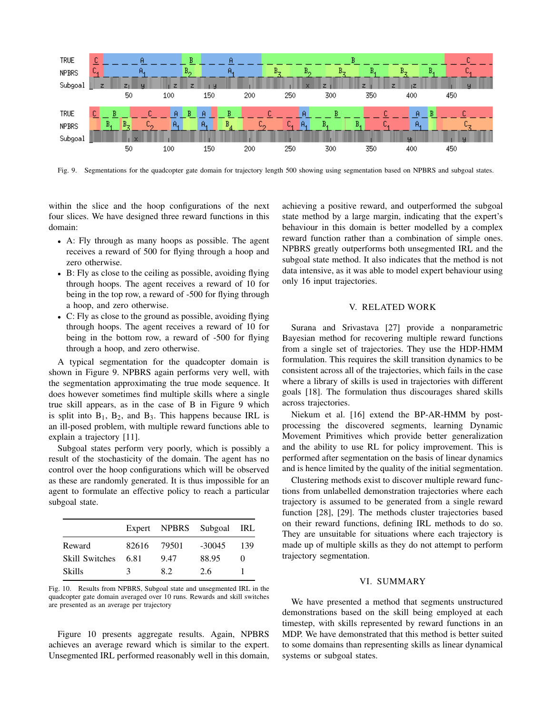

Fig. 9. Segmentations for the quadcopter gate domain for trajectory length 500 showing using segmentation based on NPBRS and subgoal states.

within the slice and the hoop configurations of the next four slices. We have designed three reward functions in this domain:

- A: Fly through as many hoops as possible. The agent receives a reward of 500 for flying through a hoop and zero otherwise.
- B: Fly as close to the ceiling as possible, avoiding flying through hoops. The agent receives a reward of 10 for being in the top row, a reward of -500 for flying through a hoop, and zero otherwise.
- C: Fly as close to the ground as possible, avoiding flying through hoops. The agent receives a reward of 10 for being in the bottom row, a reward of -500 for flying through a hoop, and zero otherwise.

A typical segmentation for the quadcopter domain is shown in Figure 9. NPBRS again performs very well, with the segmentation approximating the true mode sequence. It does however sometimes find multiple skills where a single true skill appears, as in the case of B in Figure 9 which is split into  $B_1$ ,  $B_2$ , and  $B_3$ . This happens because IRL is an ill-posed problem, with multiple reward functions able to explain a trajectory [11].

Subgoal states perform very poorly, which is possibly a result of the stochasticity of the domain. The agent has no control over the hoop configurations which will be observed as these are randomly generated. It is thus impossible for an agent to formulate an effective policy to reach a particular subgoal state.

|                       |       | Expert NPBRS | Subgoal  | -IRL |
|-----------------------|-------|--------------|----------|------|
| Reward                | 82616 | 79501        | $-30045$ | -139 |
| <b>Skill Switches</b> | 6.81  | 9.47         | 88.95    |      |
| Skills                | 3     | 82           | 2.6      |      |

Fig. 10. Results from NPBRS, Subgoal state and unsegmented IRL in the quadcopter gate domain averaged over 10 runs. Rewards and skill switches are presented as an average per trajectory

Figure 10 presents aggregate results. Again, NPBRS achieves an average reward which is similar to the expert. Unsegmented IRL performed reasonably well in this domain, achieving a positive reward, and outperformed the subgoal state method by a large margin, indicating that the expert's behaviour in this domain is better modelled by a complex reward function rather than a combination of simple ones. NPBRS greatly outperforms both unsegmented IRL and the subgoal state method. It also indicates that the method is not data intensive, as it was able to model expert behaviour using only 16 input trajectories.

# V. RELATED WORK

Surana and Srivastava [27] provide a nonparametric Bayesian method for recovering multiple reward functions from a single set of trajectories. They use the HDP-HMM formulation. This requires the skill transition dynamics to be consistent across all of the trajectories, which fails in the case where a library of skills is used in trajectories with different goals [18]. The formulation thus discourages shared skills across trajectories.

Niekum et al. [16] extend the BP-AR-HMM by postprocessing the discovered segments, learning Dynamic Movement Primitives which provide better generalization and the ability to use RL for policy improvement. This is performed after segmentation on the basis of linear dynamics and is hence limited by the quality of the initial segmentation.

Clustering methods exist to discover multiple reward functions from unlabelled demonstration trajectories where each trajectory is assumed to be generated from a single reward function [28], [29]. The methods cluster trajectories based on their reward functions, defining IRL methods to do so. They are unsuitable for situations where each trajectory is made up of multiple skills as they do not attempt to perform trajectory segmentation.

# VI. SUMMARY

We have presented a method that segments unstructured demonstrations based on the skill being employed at each timestep, with skills represented by reward functions in an MDP. We have demonstrated that this method is better suited to some domains than representing skills as linear dynamical systems or subgoal states.